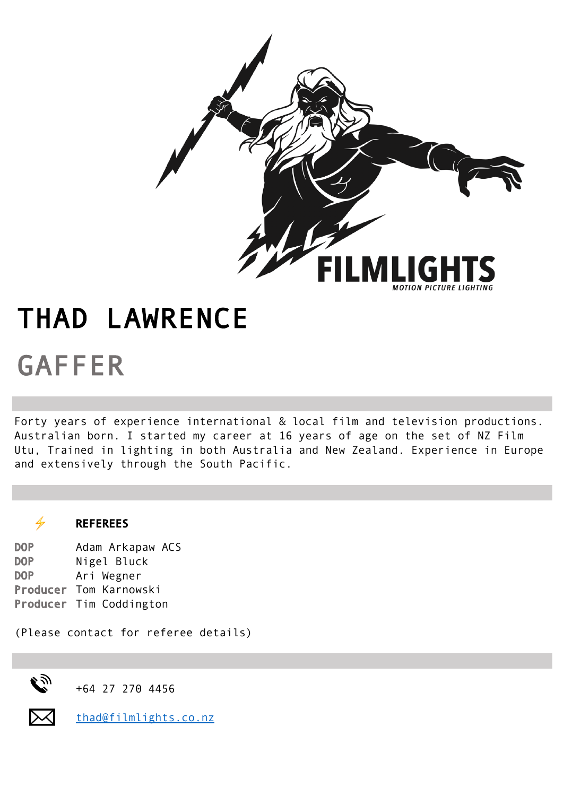

## GAFFER THAD LAWRENCE

Forty years of experience international & local film and television productions. Australian born. I started my career at 16 years of age on the set of NZ Film Utu, Trained in lighting in both Australia and New Zealand. Experience in Europe and extensively through the South Pacific.

## $\frac{1}{2}$  REFEREES

DOP Adam Arkapaw ACS DOP Nigel Bluck DOP Ari Wegner Producer Tom Karnowski Producer Tim Coddington

(Please contact for referee details)



+64 27 270 4456



thad@filmlights.co.nz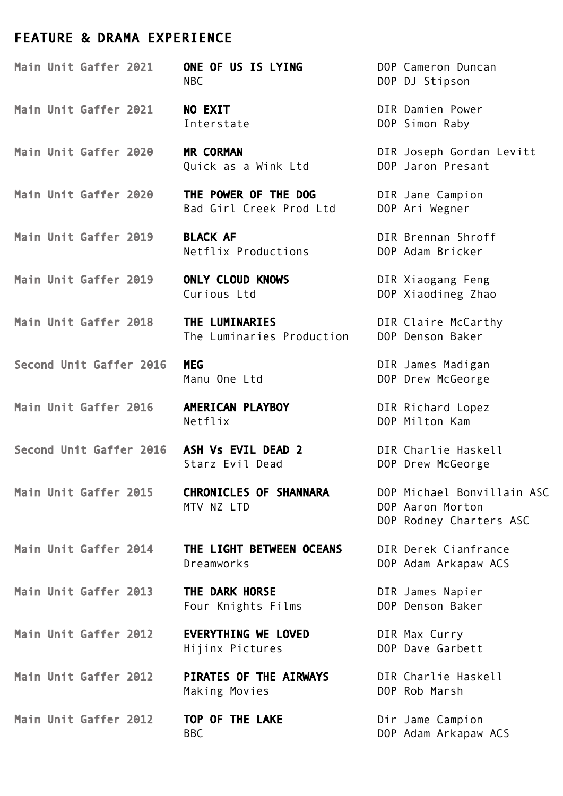## FEATURE & DRAMA EXPERIENCE

Main Unit Gaffer 2021 **NO EXIT DIR Damien Power** Main Unit Gaffer 2020 MR CORMAN DIR Joseph Gordan Levitt

Main Unit Gaffer 2019 BLACK AF **DIR Brennan Shroff** 

Main Unit Gaffer 2019 ONLY CLOUD KNOWS DIR Xiaogang Feng

Second Unit Gaffer 2016 MEG DIR James Madigan

Main Unit Gaffer 2016 AMERICAN PLAYBOY DIR Richard Lopez

Main Unit Gaffer 2012 TOP OF THE LAKE **Dir Jame Campion** 

Main Unit Gaffer 2021 ONE OF US IS LYING DOP Cameron Duncan NBC DOP DJ Stipson

Quick as a Wink Ltd **DOP** Jaron Presant

Main Unit Gaffer 2020 THE POWER OF THE DOG DIR Jane Campion Bad Girl Creek Prod Ltd DOP Ari Wegner

Netflix Productions DOP Adam Bricker

Main Unit Gaffer 2018 THE LUMINARIES DIR Claire McCarthy The Luminaries Production DOP Denson Baker

Netflix DOP Milton Kam

Second Unit Gaffer 2016 ASH Vs EVIL DEAD 2 DIR Charlie Haskell Starz Evil Dead **DOP** Drew McGeorge

MTV NZ LTD DOP Aaron Morton

Main Unit Gaffer 2014 THE LIGHT BETWEEN OCEANS DIR Derek Cianfrance Dreamworks DOP Adam Arkapaw ACS

Main Unit Gaffer 2013 THE DARK HORSE **DIR James Napier** Four Knights Films<br>
DOP Denson Baker

Main Unit Gaffer 2012 **EVERYTHING WE LOVED** DIR Max Curry Hijinx Pictures DOP Dave Garbett

Main Unit Gaffer 2012 PIRATES OF THE AIRWAYS DIR Charlie Haskell Making Movies **DOP** Rob Marsh

Interstate DOP Simon Raby

Curious Ltd DOP Xiaodineg Zhao

Manu One Ltd DOP Drew McGeorge

Main Unit Gaffer 2015 CHRONICLES OF SHANNARA DOP Michael Bonvillain ASC DOP Rodney Charters ASC

BBC DOP Adam Arkapaw ACS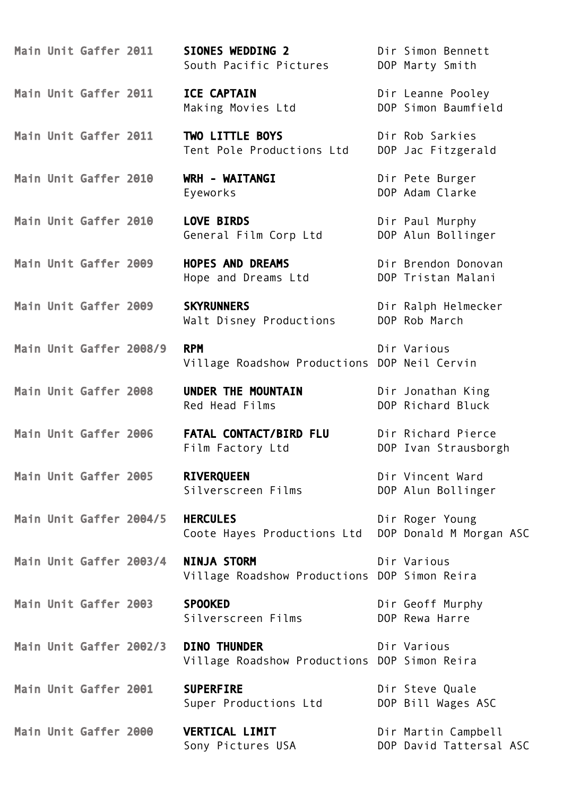Main Unit Gaffer 2011 SIONES WEDDING 2 Dir Simon Bennett

Main Unit Gaffer 2011 ICE CAPTAIN Dir Leanne Pooley

Main Unit Gaffer 2011 TWO LITTLE BOYS Dir Rob Sarkies

Main Unit Gaffer 2010 WRH - WAITANGI Dir Pete Burger

Main Unit Gaffer 2008/9 RPM Dir Various

Main Unit Gaffer 2008 UNDER THE MOUNTAIN Dir Jonathan King

Main Unit Gaffer 2005 RIVEROUEEN Dir Vincent Ward

Main Unit Gaffer 2003 SPOOKED Dir Geoff Murphy

Main Unit Gaffer 2002/3 DINO THUNDER Dir Various Village Roadshow Productions DOP Simon Reira

Main Unit Gaffer 2001 SUPERFIRE **Dir Steve Quale** Super Productions Ltd DOP Bill Wages ASC

Main Unit Gaffer 2000 VERTICAL LIMIT Dir Martin Campbell

South Pacific Pictures DOP Marty Smith

Making Movies Ltd DOP Simon Baumfield

Tent Pole Productions Ltd DOP Jac Fitzgerald

Main Unit Gaffer 2010 LOVE BIRDS **Direct Paul Murphy** General Film Corp Ltd DOP Alun Bollinger

Main Unit Gaffer 2009 **HOPES AND DREAMS** Dir Brendon Donovan Hope and Dreams Ltd **DOP** Tristan Malani

Main Unit Gaffer 2009 SKYRUNNERS Dir Ralph Helmecker Walt Disney Productions DOP Rob March

Village Roadshow Productions DOP Neil Cervin

Red Head Films **DOP** Richard Bluck

Main Unit Gaffer 2006 FATAL CONTACT/BIRD FLU Dir Richard Pierce Film Factory Ltd **DOP** Ivan Strausborgh

Main Unit Gaffer 2004/5 HERCULES Dir Roger Young Coote Hayes Productions Ltd DOP Donald M Morgan ASC

Main Unit Gaffer 2003/4 **NINJA STORM** Dir Various Village Roadshow Productions DOP Simon Reira

Silverscreen Films **DOP** Rewa Harre

Eyeworks DOP Adam Clarke

Silverscreen Films **DOP** Alun Bollinger

Sony Pictures USA DOP David Tattersal ASC